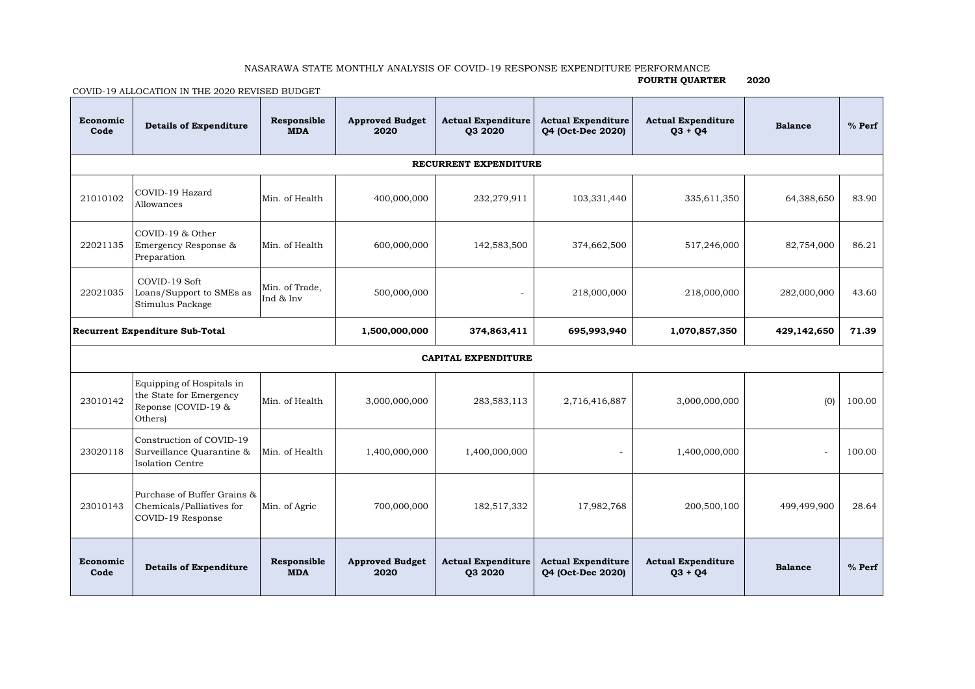## NASARAWA STATE MONTHLY ANALYSIS OF COVID-19 RESPONSE EXPENDITURE PERFORMANCE

## **FOURTH QUARTER 2020**

COVID-19 ALLOCATION IN THE 2020 REVISED BUDGET

| Economic<br>Code                       | <b>Details of Expenditure</b>                                                          | Responsible<br><b>MDA</b>   | <b>Approved Budget</b><br>2020 | <b>Actual Expenditure</b><br>03 20 20 | <b>Actual Expenditure</b><br>04 (Oct-Dec 2020) | <b>Actual Expenditure</b><br>$03 + 04$ | <b>Balance</b> | $%$ Perf |  |  |  |  |  |
|----------------------------------------|----------------------------------------------------------------------------------------|-----------------------------|--------------------------------|---------------------------------------|------------------------------------------------|----------------------------------------|----------------|----------|--|--|--|--|--|
| RECURRENT EXPENDITURE                  |                                                                                        |                             |                                |                                       |                                                |                                        |                |          |  |  |  |  |  |
| 21010102                               | COVID-19 Hazard<br>Allowances                                                          | Min. of Health              | 400,000,000                    | 232,279,911                           | 103,331,440                                    | 335,611,350                            | 64,388,650     | 83.90    |  |  |  |  |  |
| 22021135                               | COVID-19 & Other<br>Emergency Response &<br>Preparation                                | Min. of Health              | 600,000,000                    | 142,583,500                           | 374,662,500                                    | 517,246,000                            | 82,754,000     | 86.21    |  |  |  |  |  |
| 22021035                               | COVID-19 Soft<br>Loans/Support to SMEs as<br>Stimulus Package                          | Min. of Trade,<br>Ind & Inv | 500,000,000                    |                                       | 218,000,000                                    | 218,000,000                            | 282,000,000    | 43.60    |  |  |  |  |  |
| <b>Recurrent Expenditure Sub-Total</b> |                                                                                        |                             | 1,500,000,000                  | 374,863,411                           | 695,993,940                                    | 1,070,857,350                          | 429,142,650    | 71.39    |  |  |  |  |  |
| <b>CAPITAL EXPENDITURE</b>             |                                                                                        |                             |                                |                                       |                                                |                                        |                |          |  |  |  |  |  |
| 23010142                               | Equipping of Hospitals in<br>the State for Emergency<br>Reponse (COVID-19 &<br>Others) | Min. of Health              | 3,000,000,000                  | 283,583,113                           | 2,716,416,887                                  | 3,000,000,000                          | (0)            | 100.00   |  |  |  |  |  |
| 23020118                               | Construction of COVID-19<br>Surveillance Quarantine &<br><b>Isolation Centre</b>       | Min. of Health              | 1,400,000,000                  | 1,400,000,000                         |                                                | 1,400,000,000                          | ä,             | 100.00   |  |  |  |  |  |
| 23010143                               | Purchase of Buffer Grains &<br>Chemicals/Palliatives for<br>COVID-19 Response          | Min. of Agric               | 700,000,000                    | 182,517,332                           | 17,982,768                                     | 200,500,100                            | 499,499,900    | 28.64    |  |  |  |  |  |
| Economic<br>Code                       | <b>Details of Expenditure</b>                                                          | Responsible<br><b>MDA</b>   | <b>Approved Budget</b><br>2020 | <b>Actual Expenditure</b><br>03 20 20 | <b>Actual Expenditure</b><br>04 (Oct-Dec 2020) | <b>Actual Expenditure</b><br>$03 + 04$ | <b>Balance</b> | $%$ Perf |  |  |  |  |  |